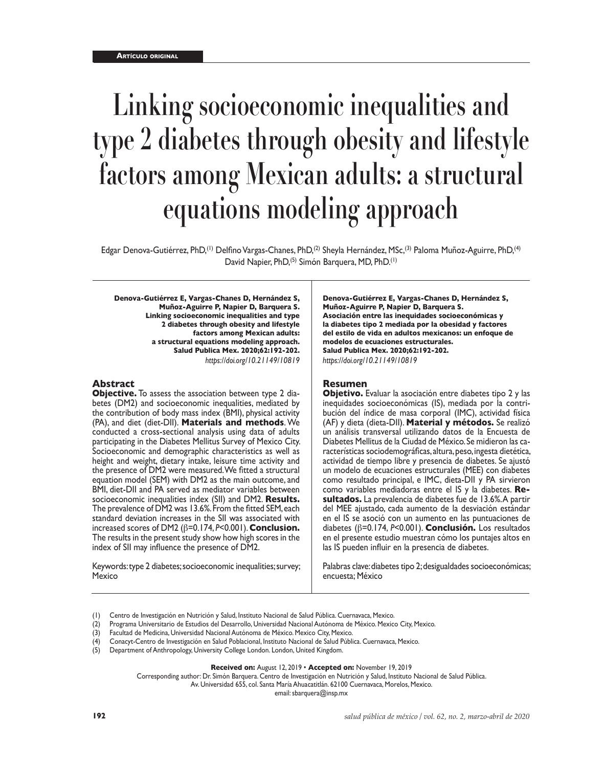# **Linking socioeconomic inequalities and type 2 diabetes through obesity and lifestyle factors among Mexican adults: a structural equations modeling approach**

Edgar Denova-Gutiérrez, PhD,(1) Delfino Vargas-Chanes, PhD,(2) Sheyla Hernández, MSc,(3) Paloma Muñoz-Aguirre, PhD,(4) David Napier, PhD,<sup>(5)</sup> Simón Barquera, MD, PhD.<sup>(1)</sup>

**Denova-Gutiérrez E, Vargas-Chanes D, Hernández S, Muñoz-Aguirre P, Napier D, Barquera S. Linking socioeconomic inequalities and type 2 diabetes through obesity and lifestyle factors among Mexican adults: a structural equations modeling approach. Salud Publica Mex. 2020;62:192-202.** *https://doi.org/10.21149/10819*

## **Abstract**

**Objective.** To assess the association between type 2 diabetes (DM2) and socioeconomic inequalities, mediated by the contribution of body mass index (BMI), physical activity (PA), and diet (diet-DII). **Materials and methods**. We conducted a cross-sectional analysis using data of adults participating in the Diabetes Mellitus Survey of Mexico City. Socioeconomic and demographic characteristics as well as height and weight, dietary intake, leisure time activity and the presence of DM2 were measured. We fitted a structural equation model (SEM) with DM2 as the main outcome, and BMI, diet-DII and PA served as mediator variables between socioeconomic inequalities index (SII) and DM2. **Results.** The prevalence of DM2 was 13.6%. From the fitted SEM, each standard deviation increases in the SII was associated with increased scores of DM2 (β=0.174, *P*<0.001). **Conclusion.** The results in the present study show how high scores in the index of SII may influence the presence of DM2.

Keywords: type 2 diabetes; socioeconomic inequalities; survey; Mexico

**Denova-Gutiérrez E, Vargas-Chanes D, Hernández S, Muñoz-Aguirre P, Napier D, Barquera S. Asociación entre las inequidades socioeconómicas y la diabetes tipo 2 mediada por la obesidad y factores del estilo de vida en adultos mexicanos: un enfoque de modelos de ecuaciones estructurales. Salud Publica Mex. 2020;62:192-202.** *https://doi.org/10.21149/10819*

#### **Resumen**

**Objetivo.** Evaluar la asociación entre diabetes tipo 2 y las inequidades socioeconómicas (IS), mediada por la contribución del índice de masa corporal (IMC), actividad física (AF) y dieta (dieta-DII). **Material y métodos.** Se realizó un análisis transversal utilizando datos de la Encuesta de Diabetes Mellitus de la Ciudad de México. Se midieron las características sociodemográficas, altura, peso, ingesta dietética, actividad de tiempo libre y presencia de diabetes. Se ajustó un modelo de ecuaciones estructurales (MEE) con diabetes como resultado principal, e IMC, dieta-DII y PA sirvieron como variables mediadoras entre el IS y la diabetes. **Re sultados.** La prevalencia de diabetes fue de 13.6%. A partir del MEE ajustado, cada aumento de la desviación estándar en el IS se asoció con un aumento en las puntuaciones de diabetes (β=0.174, *P*<0.001). **Conclusión.** Los resultados en el presente estudio muestran cómo los puntajes altos en las IS pueden influir en la presencia de diabetes.

Palabras clave: diabetes tipo 2; desigualdades socioeconómicas; encuesta; México

Corresponding author: Dr. Simón Barquera. Centro de Investigación en Nutrición y Salud, Instituto Nacional de Salud Pública.

Av. Universidad 655, col. Santa María Ahuacatitlán. 62100 Cuernavaca, Morelos, Mexico.

email: sbarquera@insp.mx

<sup>(1)</sup> Centro de Investigación en Nutrición y Salud, Instituto Nacional de Salud Pública. Cuernavaca, Mexico.

<sup>(2)</sup> Programa Universitario de Estudios del Desarrollo, Universidad Nacional Autónoma de México. Mexico City, Mexico.

<sup>(3)</sup> Facultad de Medicina, Universidad Nacional Autónoma de México. Mexico City, Mexico.

<sup>(4)</sup> Conacyt-Centro de Investigación en Salud Poblacional, Instituto Nacional de Salud Pública. Cuernavaca, Mexico.

Department of Anthropology, University College London. London, United Kingdom.

**Received on:** August 12, 2019 • **Accepted on:** November 19, 2019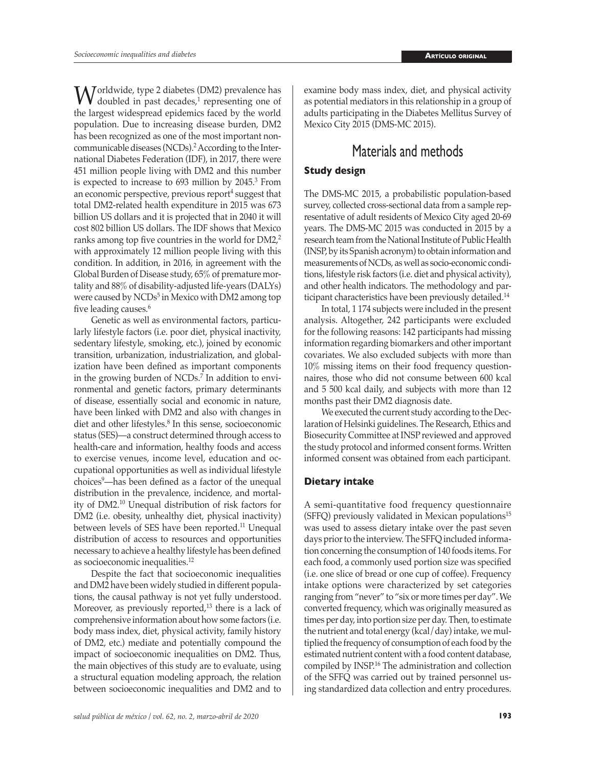$\mathbf{W}$  orldwide, type 2 diabetes (DM2) prevalence has doubled in past decades,<sup>1</sup> representing one of the length the largest widespread epidemics faced by the world population. Due to increasing disease burden, DM2 has been recognized as one of the most important noncommunicable diseases (NCDs).2 According to the International Diabetes Federation (IDF), in 2017, there were 451 million people living with DM2 and this number is expected to increase to 693 million by 2045. $^3$  From an economic perspective, previous report<sup>4</sup> suggest that total DM2-related health expenditure in 2015 was 673 billion US dollars and it is projected that in 2040 it will cost 802 billion US dollars. The IDF shows that Mexico ranks among top five countries in the world for DM2,<sup>2</sup> with approximately 12 million people living with this condition. In addition, in 2016, in agreement with the Global Burden of Disease study, 65% of premature mortality and 88% of disability-adjusted life-years (DALYs) were caused by NCDs<sup>5</sup> in Mexico with DM2 among top five leading causes.<sup>6</sup>

Genetic as well as environmental factors, particularly lifestyle factors (i.e. poor diet, physical inactivity, sedentary lifestyle, smoking, etc.), joined by economic transition, urbanization, industrialization, and globalization have been defined as important components in the growing burden of NCDs.<sup>7</sup> In addition to environmental and genetic factors, primary determinants of disease, essentially social and economic in nature, have been linked with DM2 and also with changes in diet and other lifestyles.<sup>8</sup> In this sense, socioeconomic status (SES)—a construct determined through access to health-care and information, healthy foods and access to exercise venues, income level, education and occupational opportunities as well as individual lifestyle choices9 —has been defined as a factor of the unequal distribution in the prevalence, incidence, and mortality of DM2.<sup>10</sup> Unequal distribution of risk factors for DM2 (i.e. obesity, unhealthy diet, physical inactivity) between levels of SES have been reported.<sup>11</sup> Unequal distribution of access to resources and opportunities necessary to achieve a healthy lifestyle has been defined as socioeconomic inequalities.<sup>12</sup>

Despite the fact that socioeconomic inequalities and DM2 have been widely studied in different populations, the causal pathway is not yet fully understood. Moreover, as previously reported,<sup>13</sup> there is a lack of comprehensive information about how some factors (i.e. body mass index, diet, physical activity, family history of DM2, etc.) mediate and potentially compound the impact of socioeconomic inequalities on DM2. Thus, the main objectives of this study are to evaluate, using a structural equation modeling approach, the relation between socioeconomic inequalities and DM2 and to

examine body mass index, diet, and physical activity as potential mediators in this relationship in a group of adults participating in the Diabetes Mellitus Survey of Mexico City 2015 (DMS-MC 2015).

# Materials and methods

# **Study design**

The DMS-MC 2015, a probabilistic population-based survey, collected cross-sectional data from a sample representative of adult residents of Mexico City aged 20-69 years. The DMS-MC 2015 was conducted in 2015 by a research team from the National Institute of Public Health (INSP, by its Spanish acronym) to obtain information and measurements of NCDs, as well as socio-economic conditions, lifestyle risk factors (i.e. diet and physical activity), and other health indicators. The methodology and participant characteristics have been previously detailed.14

In total, 1 174 subjects were included in the present analysis. Altogether, 242 participants were excluded for the following reasons: 142 participants had missing information regarding biomarkers and other important covariates. We also excluded subjects with more than 10% missing items on their food frequency questionnaires, those who did not consume between 600 kcal and 5 500 kcal daily, and subjects with more than 12 months past their DM2 diagnosis date.

We executed the current study according to the Declaration of Helsinki guidelines. The Research, Ethics and Biosecurity Committee at INSP reviewed and approved the study protocol and informed consent forms. Written informed consent was obtained from each participant.

# **Dietary intake**

A semi-quantitative food frequency questionnaire  $(SFFQ)$  previously validated in Mexican populations<sup>15</sup> was used to assess dietary intake over the past seven days prior to the interview. The SFFQ included information concerning the consumption of 140 foods items. For each food, a commonly used portion size was specified (i.e. one slice of bread or one cup of coffee). Frequency intake options were characterized by set categories ranging from "never" to "six or more times per day". We converted frequency, which was originally measured as times per day, into portion size per day. Then, to estimate the nutrient and total energy (kcal/day) intake, we multiplied the frequency of consumption of each food by the estimated nutrient content with a food content database, compiled by INSP.16 The administration and collection of the SFFQ was carried out by trained personnel using standardized data collection and entry procedures.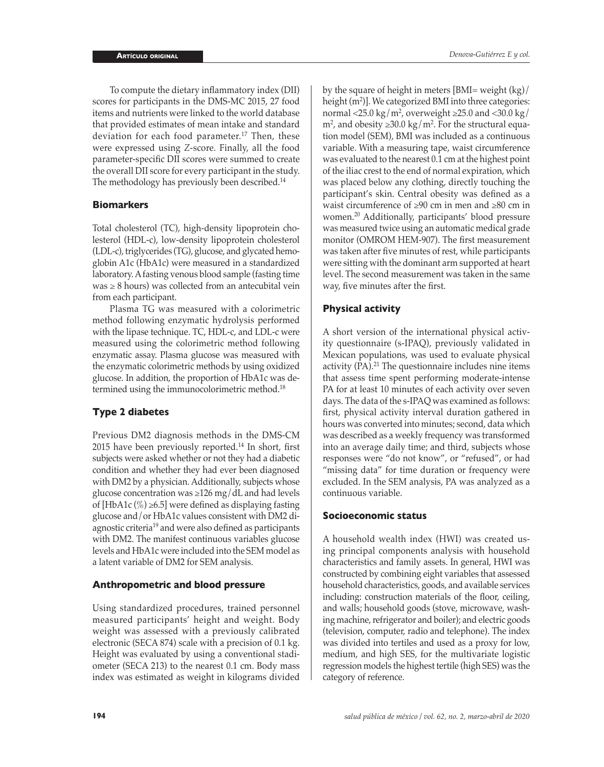To compute the dietary inflammatory index (DII) scores for participants in the DMS-MC 2015, 27 food items and nutrients were linked to the world database that provided estimates of mean intake and standard deviation for each food parameter.<sup>17</sup> Then, these were expressed using *Z*-score. Finally, all the food parameter-specific DII scores were summed to create the overall DII score for every participant in the study. The methodology has previously been described.<sup>14</sup>

## **Biomarkers**

Total cholesterol (TC), high-density lipoprotein cholesterol (HDL-c), low-density lipoprotein cholesterol (LDL-c), triglycerides (TG), glucose, and glycated hemoglobin A1c (HbA1c) were measured in a standardized laboratory. A fasting venous blood sample (fasting time  $was \geq 8$  hours) was collected from an antecubital vein from each participant.

Plasma TG was measured with a colorimetric method following enzymatic hydrolysis performed with the lipase technique. TC, HDL-c, and LDL-c were measured using the colorimetric method following enzymatic assay. Plasma glucose was measured with the enzymatic colorimetric methods by using oxidized glucose. In addition, the proportion of HbA1c was determined using the immunocolorimetric method.18

# **Type 2 diabetes**

Previous DM2 diagnosis methods in the DMS-CM 2015 have been previously reported.<sup>14</sup> In short, first subjects were asked whether or not they had a diabetic condition and whether they had ever been diagnosed with DM2 by a physician. Additionally, subjects whose glucose concentration was ≥126 mg/dL and had levels of [HbA1c  $\left(\% \right) \geq 6.5$ ] were defined as displaying fasting glucose and/or HbA1c values consistent with DM2 diagnostic criteria19 and were also defined as participants with DM2. The manifest continuous variables glucose levels and HbA1c were included into the SEM model as a latent variable of DM2 for SEM analysis.

### **Anthropometric and blood pressure**

Using standardized procedures, trained personnel measured participants' height and weight. Body weight was assessed with a previously calibrated electronic (SECA 874) scale with a precision of 0.1 kg. Height was evaluated by using a conventional stadiometer (SECA 213) to the nearest 0.1 cm. Body mass index was estimated as weight in kilograms divided

by the square of height in meters [BMI= weight (kg)/ height (m<sup>2</sup> )]. We categorized BMI into three categories: normal <25.0 kg/m<sup>2</sup>, overweight  $\geq$ 25.0 and <30.0 kg/ m<sup>2</sup>, and obesity  $\geq 30.0 \text{ kg/m}^2$ . For the structural equation model (SEM), BMI was included as a continuous variable. With a measuring tape, waist circumference was evaluated to the nearest 0.1 cm at the highest point of the iliac crest to the end of normal expiration, which was placed below any clothing, directly touching the participant's skin. Central obesity was defined as a waist circumference of ≥90 cm in men and ≥80 cm in women.20 Additionally, participants' blood pressure was measured twice using an automatic medical grade monitor (OMROM HEM-907). The first measurement was taken after five minutes of rest, while participants were sitting with the dominant arm supported at heart level. The second measurement was taken in the same way, five minutes after the first.

# **Physical activity**

A short version of the international physical activity questionnaire (s-IPAQ), previously validated in Mexican populations, was used to evaluate physical activity (PA).<sup>21</sup> The questionnaire includes nine items that assess time spent performing moderate-intense PA for at least 10 minutes of each activity over seven days. The data of the s-IPAQ was examined as follows: first, physical activity interval duration gathered in hours was converted into minutes; second, data which was described as a weekly frequency was transformed into an average daily time; and third, subjects whose responses were "do not know", or "refused", or had "missing data" for time duration or frequency were excluded. In the SEM analysis, PA was analyzed as a continuous variable.

### **Socioeconomic status**

A household wealth index (HWI) was created using principal components analysis with household characteristics and family assets. In general, HWI was constructed by combining eight variables that assessed household characteristics, goods, and available services including: construction materials of the floor, ceiling, and walls; household goods (stove, microwave, washing machine, refrigerator and boiler); and electric goods (television, computer, radio and telephone). The index was divided into tertiles and used as a proxy for low, medium, and high SES, for the multivariate logistic regression models the highest tertile (high SES) was the category of reference.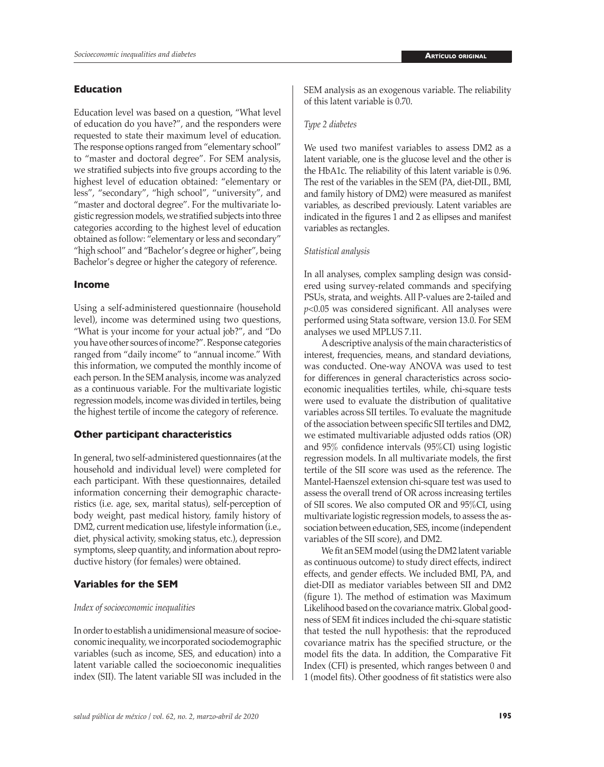### **Education**

Education level was based on a question, "What level of education do you have?", and the responders were requested to state their maximum level of education. The response options ranged from "elementary school" to "master and doctoral degree". For SEM analysis, we stratified subjects into five groups according to the highest level of education obtained: "elementary or less", "secondary", "high school", "university", and "master and doctoral degree". For the multivariate logistic regression models, we stratified subjects into three categories according to the highest level of education obtained as follow: "elementary or less and secondary" "high school" and "Bachelor's degree or higher", being Bachelor's degree or higher the category of reference.

#### **Income**

Using a self-administered questionnaire (household level), income was determined using two questions, "What is your income for your actual job?", and "Do you have other sources of income?". Response categories ranged from "daily income" to "annual income." With this information, we computed the monthly income of each person. In the SEM analysis, income was analyzed as a continuous variable. For the multivariate logistic regression models, income was divided in tertiles, being the highest tertile of income the category of reference.

#### **Other participant characteristics**

In general, two self-administered questionnaires (at the household and individual level) were completed for each participant. With these questionnaires, detailed information concerning their demographic characteristics (i.e. age, sex, marital status), self-perception of body weight, past medical history, family history of DM2, current medication use, lifestyle information (i.e., diet, physical activity, smoking status, etc.), depression symptoms, sleep quantity, and information about reproductive history (for females) were obtained.

### **Variables for the SEM**

#### *Index of socioeconomic inequalities*

In order to establish a unidimensional measure of socioeconomic inequality, we incorporated sociodemographic variables (such as income, SES, and education) into a latent variable called the socioeconomic inequalities index (SII). The latent variable SII was included in the SEM analysis as an exogenous variable. The reliability of this latent variable is 0.70.

#### *Type 2 diabetes*

We used two manifest variables to assess DM2 as a latent variable, one is the glucose level and the other is the HbA1c. The reliability of this latent variable is 0.96. The rest of the variables in the SEM (PA, diet-DII., BMI, and family history of DM2) were measured as manifest variables, as described previously. Latent variables are indicated in the figures 1 and 2 as ellipses and manifest variables as rectangles.

#### *Statistical analysis*

In all analyses, complex sampling design was considered using survey-related commands and specifying PSUs, strata, and weights. All P-values are 2-tailed and *p*<0.05 was considered significant. All analyses were performed using Stata software, version 13.0. For SEM analyses we used MPLUS 7.11.

A descriptive analysis of the main characteristics of interest, frequencies, means, and standard deviations, was conducted. One-way ANOVA was used to test for differences in general characteristics across socioeconomic inequalities tertiles, while, chi-square tests were used to evaluate the distribution of qualitative variables across SII tertiles. To evaluate the magnitude of the association between specific SII tertiles and DM2, we estimated multivariable adjusted odds ratios (OR) and 95% confidence intervals (95%CI) using logistic regression models. In all multivariate models, the first tertile of the SII score was used as the reference. The Mantel-Haenszel extension chi-square test was used to assess the overall trend of OR across increasing tertiles of SII scores. We also computed OR and 95%CI, using multivariate logistic regression models, to assess the association between education, SES, income (independent variables of the SII score), and DM2.

We fit an SEM model (using the DM2 latent variable as continuous outcome) to study direct effects, indirect effects, and gender effects. We included BMI, PA, and diet-DII as mediator variables between SII and DM2 (figure 1). The method of estimation was Maximum Likelihood based on the covariance matrix. Global goodness of SEM fit indices included the chi-square statistic that tested the null hypothesis: that the reproduced covariance matrix has the specified structure, or the model fits the data. In addition, the Comparative Fit Index (CFI) is presented, which ranges between 0 and 1 (model fits). Other goodness of fit statistics were also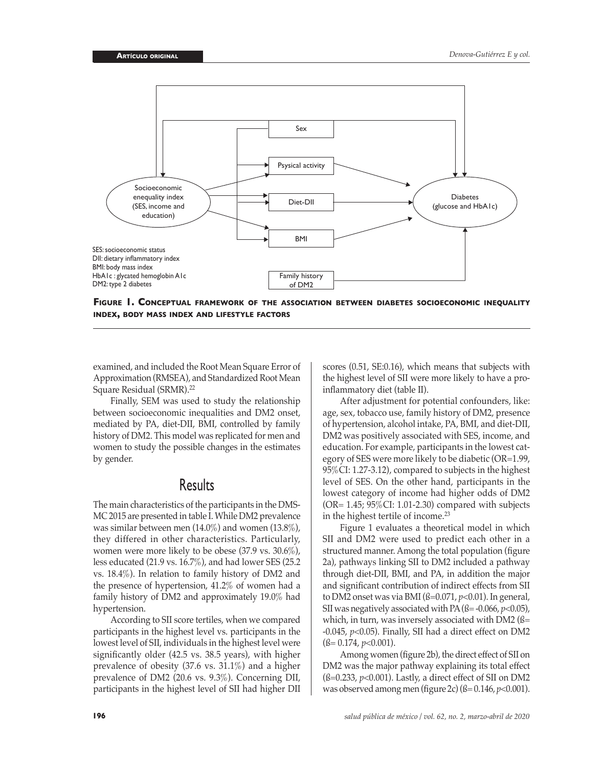

**Figure 1. Conceptual framework of the association between diabetes socioeconomic inequality index, body mass index and lifestyle factors**

examined, and included the Root Mean Square Error of Approximation (RMSEA), and Standardized Root Mean Square Residual (SRMR).<sup>22</sup>

Finally, SEM was used to study the relationship between socioeconomic inequalities and DM2 onset, mediated by PA, diet-DII, BMI, controlled by family history of DM2. This model was replicated for men and women to study the possible changes in the estimates by gender.

# **Results**

The main characteristics of the participants in the DMS-MC 2015 are presented in table I. While DM2 prevalence was similar between men (14.0%) and women (13.8%), they differed in other characteristics. Particularly, women were more likely to be obese (37.9 vs. 30.6%), less educated (21.9 vs. 16.7%), and had lower SES (25.2 vs. 18.4%). In relation to family history of DM2 and the presence of hypertension, 41.2% of women had a family history of DM2 and approximately 19.0% had hypertension.

According to SII score tertiles, when we compared participants in the highest level vs. participants in the lowest level of SII, individuals in the highest level were significantly older (42.5 vs. 38.5 years), with higher prevalence of obesity (37.6 vs. 31.1%) and a higher prevalence of DM2 (20.6 vs. 9.3%). Concerning DII, participants in the highest level of SII had higher DII

scores (0.51, SE:0.16), which means that subjects with the highest level of SII were more likely to have a proinflammatory diet (table II).

After adjustment for potential confounders, like: age, sex, tobacco use, family history of DM2, presence of hypertension, alcohol intake, PA, BMI, and diet-DII, DM2 was positively associated with SES, income, and education. For example, participants in the lowest category of SES were more likely to be diabetic (OR=1.99, 95%CI: 1.27-3.12), compared to subjects in the highest level of SES. On the other hand, participants in the lowest category of income had higher odds of DM2 (OR= 1.45; 95%CI: 1.01-2.30) compared with subjects in the highest tertile of income.<sup>23</sup>

Figure 1 evaluates a theoretical model in which SII and DM2 were used to predict each other in a structured manner. Among the total population (figure 2a), pathways linking SII to DM2 included a pathway through diet-DII, BMI, and PA, in addition the major and significant contribution of indirect effects from SII to DM2 onset was via BMI (ß=0.071, *p*<0.01). In general, SII was negatively associated with PA  $(\text{fs} = -0.066, p < 0.05)$ , which, in turn, was inversely associated with DM2 ( $\beta$ = -0.045, *p*<0.05). Finally, SII had a direct effect on DM2 (ß= 0.174, *p*<0.001).

Among women (figure 2b), the direct effect of SII on DM2 was the major pathway explaining its total effect  $(\text{fs}=0.233, p<0.001)$ . Lastly, a direct effect of SII on DM2 was observed among men (figure 2c) (ß= 0.146, *p*<0.001).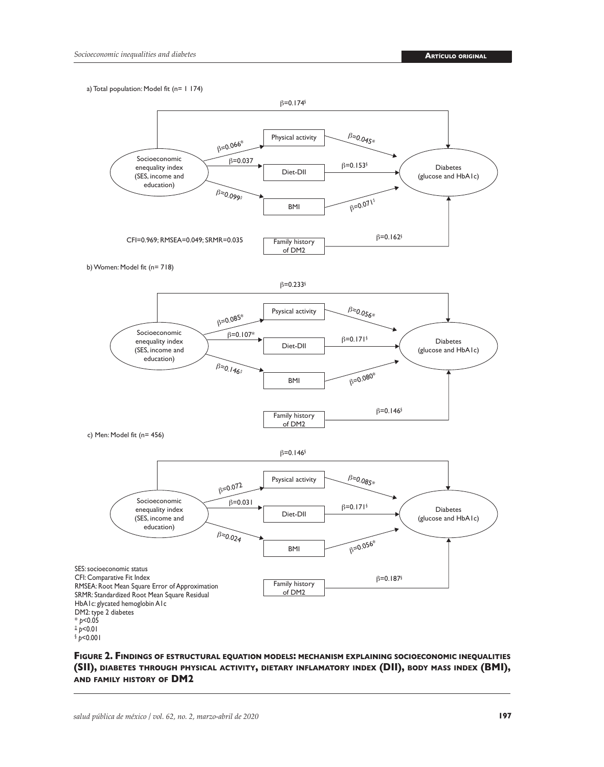a) Total population: Model fit (n= 1 174)



**Figure 2. Findings of estructural equation models: mechanism explaining socioeconomic inequalities (SII), diabetes through physical activity, dietary inflamatory index (DII), body mass index (BMI), and family history of DM2**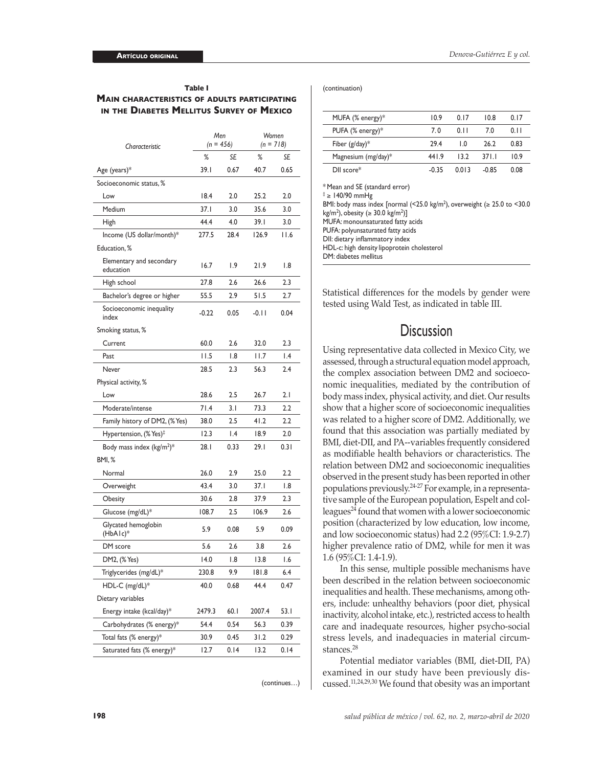#### **Table I Main characteristics of adults participating in the Diabetes Mellitus Survey of Mexico**

| %<br>SE<br>%<br>SE<br>39. I<br>0.67<br>40.7<br>0.65<br>Age (years)*<br>Socioeconomic status, %<br>18.4<br>2.0<br>25.2<br>2.0<br>Low<br>Medium<br>37.I<br>3.0<br>35.6<br>3.0<br>44.4<br>4.0<br>39.I<br>3.0<br>High<br>Income (US dollar/month)*<br>277.5<br>28.4<br>126.9<br>11.6<br>Education, %<br>Elementary and secondary<br>16.7<br>۱.9<br>21.9<br>1.8<br>education<br>27.8<br>2.6<br>26.6<br>2.3<br>High school<br>55.5<br>2.9<br>51.5<br>2.7<br>Bachelor's degree or higher<br>Socioeconomic inequality<br>$-0.22$<br>0.05<br>$-0.11$<br>0.04<br>index<br>Smoking status, %<br>2.3<br>60.0<br>2.6<br>32.0<br>Current<br>11.5<br>1.8<br>1.4<br>l I.7<br>Past<br>Never<br>28.5<br>2.3<br>2.4<br>56.3<br>Physical activity, %<br>2.5<br>28.6<br>26.7<br>2.1<br>Low<br>71.4<br>3.1<br>2.2<br>Moderate/intense<br>73.3<br>2.5<br>41.2<br>2.2<br>Family history of DM2, (% Yes)<br>38.0<br>12.3<br>Hypertension, (% Yes) <sup>‡</sup><br>l.4<br>18.9<br>2.0<br>Body mass index ( $kg/m2$ )*<br>28. I<br>0.33<br>29.I<br>0.31<br><b>BMI, %</b><br>2.2<br>26.0<br>2.9<br>25.0<br>Normal<br>43.4<br>3.0<br>37.I<br>1.8<br>Overweight<br>2.3<br>30.6<br>2.8<br>37.9<br>Obesity<br>2.5<br>Glucose (mg/dL)*<br>108.7<br>106.9<br>2.6<br>Glycated hemoglobin<br>5.9<br>0.08<br>5.9<br>0.09<br>(HbAlc)*<br>5.6<br>2.6<br>2.6<br>DM score<br>3.8<br>DM2, (% Yes)<br>14.0<br>1.8<br>13.8<br>1.6<br>9.9<br>6.4<br>Triglycerides (mg/dL)*<br>230.8<br>181.8<br>HDL-C (mg/dL)*<br>44.4<br>40.0<br>0.68<br>0.47<br>Dietary variables<br>Energy intake (kcal/day)*<br>2479.3<br>60.1<br>2007.4<br>53.I<br>Carbohydrates (% energy)*<br>54.4<br>0.54<br>56.3<br>0.39<br>Total fats (% energy)*<br>30.9<br>0.45<br>31.2<br>0.29<br>Saturated fats (% energy)*<br>12.7<br>0.14<br>13.2<br>0.14 |                | Men<br>$(n = 456)$ |  | Women<br>$(n = 718)$ |  |
|------------------------------------------------------------------------------------------------------------------------------------------------------------------------------------------------------------------------------------------------------------------------------------------------------------------------------------------------------------------------------------------------------------------------------------------------------------------------------------------------------------------------------------------------------------------------------------------------------------------------------------------------------------------------------------------------------------------------------------------------------------------------------------------------------------------------------------------------------------------------------------------------------------------------------------------------------------------------------------------------------------------------------------------------------------------------------------------------------------------------------------------------------------------------------------------------------------------------------------------------------------------------------------------------------------------------------------------------------------------------------------------------------------------------------------------------------------------------------------------------------------------------------------------------------------------------------------------------------------------------------------------------------------------------------------------------------------------------------------------------------------------------------|----------------|--------------------|--|----------------------|--|
|                                                                                                                                                                                                                                                                                                                                                                                                                                                                                                                                                                                                                                                                                                                                                                                                                                                                                                                                                                                                                                                                                                                                                                                                                                                                                                                                                                                                                                                                                                                                                                                                                                                                                                                                                                              | Characteristic |                    |  |                      |  |
|                                                                                                                                                                                                                                                                                                                                                                                                                                                                                                                                                                                                                                                                                                                                                                                                                                                                                                                                                                                                                                                                                                                                                                                                                                                                                                                                                                                                                                                                                                                                                                                                                                                                                                                                                                              |                |                    |  |                      |  |
|                                                                                                                                                                                                                                                                                                                                                                                                                                                                                                                                                                                                                                                                                                                                                                                                                                                                                                                                                                                                                                                                                                                                                                                                                                                                                                                                                                                                                                                                                                                                                                                                                                                                                                                                                                              |                |                    |  |                      |  |
|                                                                                                                                                                                                                                                                                                                                                                                                                                                                                                                                                                                                                                                                                                                                                                                                                                                                                                                                                                                                                                                                                                                                                                                                                                                                                                                                                                                                                                                                                                                                                                                                                                                                                                                                                                              |                |                    |  |                      |  |
|                                                                                                                                                                                                                                                                                                                                                                                                                                                                                                                                                                                                                                                                                                                                                                                                                                                                                                                                                                                                                                                                                                                                                                                                                                                                                                                                                                                                                                                                                                                                                                                                                                                                                                                                                                              |                |                    |  |                      |  |
|                                                                                                                                                                                                                                                                                                                                                                                                                                                                                                                                                                                                                                                                                                                                                                                                                                                                                                                                                                                                                                                                                                                                                                                                                                                                                                                                                                                                                                                                                                                                                                                                                                                                                                                                                                              |                |                    |  |                      |  |
|                                                                                                                                                                                                                                                                                                                                                                                                                                                                                                                                                                                                                                                                                                                                                                                                                                                                                                                                                                                                                                                                                                                                                                                                                                                                                                                                                                                                                                                                                                                                                                                                                                                                                                                                                                              |                |                    |  |                      |  |
|                                                                                                                                                                                                                                                                                                                                                                                                                                                                                                                                                                                                                                                                                                                                                                                                                                                                                                                                                                                                                                                                                                                                                                                                                                                                                                                                                                                                                                                                                                                                                                                                                                                                                                                                                                              |                |                    |  |                      |  |
|                                                                                                                                                                                                                                                                                                                                                                                                                                                                                                                                                                                                                                                                                                                                                                                                                                                                                                                                                                                                                                                                                                                                                                                                                                                                                                                                                                                                                                                                                                                                                                                                                                                                                                                                                                              |                |                    |  |                      |  |
|                                                                                                                                                                                                                                                                                                                                                                                                                                                                                                                                                                                                                                                                                                                                                                                                                                                                                                                                                                                                                                                                                                                                                                                                                                                                                                                                                                                                                                                                                                                                                                                                                                                                                                                                                                              |                |                    |  |                      |  |
|                                                                                                                                                                                                                                                                                                                                                                                                                                                                                                                                                                                                                                                                                                                                                                                                                                                                                                                                                                                                                                                                                                                                                                                                                                                                                                                                                                                                                                                                                                                                                                                                                                                                                                                                                                              |                |                    |  |                      |  |
|                                                                                                                                                                                                                                                                                                                                                                                                                                                                                                                                                                                                                                                                                                                                                                                                                                                                                                                                                                                                                                                                                                                                                                                                                                                                                                                                                                                                                                                                                                                                                                                                                                                                                                                                                                              |                |                    |  |                      |  |
|                                                                                                                                                                                                                                                                                                                                                                                                                                                                                                                                                                                                                                                                                                                                                                                                                                                                                                                                                                                                                                                                                                                                                                                                                                                                                                                                                                                                                                                                                                                                                                                                                                                                                                                                                                              |                |                    |  |                      |  |
|                                                                                                                                                                                                                                                                                                                                                                                                                                                                                                                                                                                                                                                                                                                                                                                                                                                                                                                                                                                                                                                                                                                                                                                                                                                                                                                                                                                                                                                                                                                                                                                                                                                                                                                                                                              |                |                    |  |                      |  |
|                                                                                                                                                                                                                                                                                                                                                                                                                                                                                                                                                                                                                                                                                                                                                                                                                                                                                                                                                                                                                                                                                                                                                                                                                                                                                                                                                                                                                                                                                                                                                                                                                                                                                                                                                                              |                |                    |  |                      |  |
|                                                                                                                                                                                                                                                                                                                                                                                                                                                                                                                                                                                                                                                                                                                                                                                                                                                                                                                                                                                                                                                                                                                                                                                                                                                                                                                                                                                                                                                                                                                                                                                                                                                                                                                                                                              |                |                    |  |                      |  |
|                                                                                                                                                                                                                                                                                                                                                                                                                                                                                                                                                                                                                                                                                                                                                                                                                                                                                                                                                                                                                                                                                                                                                                                                                                                                                                                                                                                                                                                                                                                                                                                                                                                                                                                                                                              |                |                    |  |                      |  |
|                                                                                                                                                                                                                                                                                                                                                                                                                                                                                                                                                                                                                                                                                                                                                                                                                                                                                                                                                                                                                                                                                                                                                                                                                                                                                                                                                                                                                                                                                                                                                                                                                                                                                                                                                                              |                |                    |  |                      |  |
|                                                                                                                                                                                                                                                                                                                                                                                                                                                                                                                                                                                                                                                                                                                                                                                                                                                                                                                                                                                                                                                                                                                                                                                                                                                                                                                                                                                                                                                                                                                                                                                                                                                                                                                                                                              |                |                    |  |                      |  |
|                                                                                                                                                                                                                                                                                                                                                                                                                                                                                                                                                                                                                                                                                                                                                                                                                                                                                                                                                                                                                                                                                                                                                                                                                                                                                                                                                                                                                                                                                                                                                                                                                                                                                                                                                                              |                |                    |  |                      |  |
|                                                                                                                                                                                                                                                                                                                                                                                                                                                                                                                                                                                                                                                                                                                                                                                                                                                                                                                                                                                                                                                                                                                                                                                                                                                                                                                                                                                                                                                                                                                                                                                                                                                                                                                                                                              |                |                    |  |                      |  |
|                                                                                                                                                                                                                                                                                                                                                                                                                                                                                                                                                                                                                                                                                                                                                                                                                                                                                                                                                                                                                                                                                                                                                                                                                                                                                                                                                                                                                                                                                                                                                                                                                                                                                                                                                                              |                |                    |  |                      |  |
|                                                                                                                                                                                                                                                                                                                                                                                                                                                                                                                                                                                                                                                                                                                                                                                                                                                                                                                                                                                                                                                                                                                                                                                                                                                                                                                                                                                                                                                                                                                                                                                                                                                                                                                                                                              |                |                    |  |                      |  |
|                                                                                                                                                                                                                                                                                                                                                                                                                                                                                                                                                                                                                                                                                                                                                                                                                                                                                                                                                                                                                                                                                                                                                                                                                                                                                                                                                                                                                                                                                                                                                                                                                                                                                                                                                                              |                |                    |  |                      |  |
|                                                                                                                                                                                                                                                                                                                                                                                                                                                                                                                                                                                                                                                                                                                                                                                                                                                                                                                                                                                                                                                                                                                                                                                                                                                                                                                                                                                                                                                                                                                                                                                                                                                                                                                                                                              |                |                    |  |                      |  |
|                                                                                                                                                                                                                                                                                                                                                                                                                                                                                                                                                                                                                                                                                                                                                                                                                                                                                                                                                                                                                                                                                                                                                                                                                                                                                                                                                                                                                                                                                                                                                                                                                                                                                                                                                                              |                |                    |  |                      |  |
|                                                                                                                                                                                                                                                                                                                                                                                                                                                                                                                                                                                                                                                                                                                                                                                                                                                                                                                                                                                                                                                                                                                                                                                                                                                                                                                                                                                                                                                                                                                                                                                                                                                                                                                                                                              |                |                    |  |                      |  |
|                                                                                                                                                                                                                                                                                                                                                                                                                                                                                                                                                                                                                                                                                                                                                                                                                                                                                                                                                                                                                                                                                                                                                                                                                                                                                                                                                                                                                                                                                                                                                                                                                                                                                                                                                                              |                |                    |  |                      |  |
|                                                                                                                                                                                                                                                                                                                                                                                                                                                                                                                                                                                                                                                                                                                                                                                                                                                                                                                                                                                                                                                                                                                                                                                                                                                                                                                                                                                                                                                                                                                                                                                                                                                                                                                                                                              |                |                    |  |                      |  |
|                                                                                                                                                                                                                                                                                                                                                                                                                                                                                                                                                                                                                                                                                                                                                                                                                                                                                                                                                                                                                                                                                                                                                                                                                                                                                                                                                                                                                                                                                                                                                                                                                                                                                                                                                                              |                |                    |  |                      |  |
|                                                                                                                                                                                                                                                                                                                                                                                                                                                                                                                                                                                                                                                                                                                                                                                                                                                                                                                                                                                                                                                                                                                                                                                                                                                                                                                                                                                                                                                                                                                                                                                                                                                                                                                                                                              |                |                    |  |                      |  |
|                                                                                                                                                                                                                                                                                                                                                                                                                                                                                                                                                                                                                                                                                                                                                                                                                                                                                                                                                                                                                                                                                                                                                                                                                                                                                                                                                                                                                                                                                                                                                                                                                                                                                                                                                                              |                |                    |  |                      |  |
|                                                                                                                                                                                                                                                                                                                                                                                                                                                                                                                                                                                                                                                                                                                                                                                                                                                                                                                                                                                                                                                                                                                                                                                                                                                                                                                                                                                                                                                                                                                                                                                                                                                                                                                                                                              |                |                    |  |                      |  |
|                                                                                                                                                                                                                                                                                                                                                                                                                                                                                                                                                                                                                                                                                                                                                                                                                                                                                                                                                                                                                                                                                                                                                                                                                                                                                                                                                                                                                                                                                                                                                                                                                                                                                                                                                                              |                |                    |  |                      |  |
|                                                                                                                                                                                                                                                                                                                                                                                                                                                                                                                                                                                                                                                                                                                                                                                                                                                                                                                                                                                                                                                                                                                                                                                                                                                                                                                                                                                                                                                                                                                                                                                                                                                                                                                                                                              |                |                    |  |                      |  |
|                                                                                                                                                                                                                                                                                                                                                                                                                                                                                                                                                                                                                                                                                                                                                                                                                                                                                                                                                                                                                                                                                                                                                                                                                                                                                                                                                                                                                                                                                                                                                                                                                                                                                                                                                                              |                |                    |  |                      |  |
|                                                                                                                                                                                                                                                                                                                                                                                                                                                                                                                                                                                                                                                                                                                                                                                                                                                                                                                                                                                                                                                                                                                                                                                                                                                                                                                                                                                                                                                                                                                                                                                                                                                                                                                                                                              |                |                    |  |                      |  |

(continues…)

#### (continuation)

| MUFA (% energy)*    | 10.9  | 0.17  | 10.8    | 0.17 |
|---------------------|-------|-------|---------|------|
| PUFA $(\%$ energy)* | 7.0   | 0.11  | 7.0     | 0.11 |
| Fiber $(g/day)^*$   | 29.4  | ΙO    | 26.2    | 0.83 |
| Magnesium (mg/day)* | 441.9 | 13.2  | 37 L L  | 10.9 |
| $DII score*$        | -0.35 | 0.013 | $-0.85$ | 0.08 |

\* Mean and SE (standard error)

‡ ≥ 140/90 mmHg BMI: body mass index [normal  $\left($  < 25.0 kg/m<sup>2</sup>), overweight  $\left( \geq 25.0 \text{ to } 10^{-10} \right)$  $\text{kg/m}^2$ ), obesity (≥ 30.0 kg/m<sup>2</sup>)] MUFA: monounsaturated fatty acids PUFA: polyunsaturated fatty acids DII: dietary inflammatory index HDL-c: high density lipoprotein cholesterol DM: diabetes mellitus

Statistical differences for the models by gender were tested using Wald Test, as indicated in table III.

# **Discussion**

Using representative data collected in Mexico City, we assessed, through a structural equation model approach, the complex association between DM2 and socioeconomic inequalities, mediated by the contribution of body mass index, physical activity, and diet. Our results show that a higher score of socioeconomic inequalities was related to a higher score of DM2. Additionally, we found that this association was partially mediated by BMI, diet-DII, and PA--variables frequently considered as modifiable health behaviors or characteristics. The relation between DM2 and socioeconomic inequalities observed in the present study has been reported in other populations previously.24-27 For example, in a representative sample of the European population, Espelt and colleagues<sup>24</sup> found that women with a lower socioeconomic position (characterized by low education, low income, and low socioeconomic status) had 2.2 (95%CI: 1.9-2.7) higher prevalence ratio of DM2, while for men it was 1.6 (95%CI: 1.4-1.9).

In this sense, multiple possible mechanisms have been described in the relation between socioeconomic inequalities and health. These mechanisms, among others, include: unhealthy behaviors (poor diet, physical inactivity, alcohol intake, etc.), restricted access to health care and inadequate resources, higher psycho-social stress levels, and inadequacies in material circumstances<sup>28</sup>

Potential mediator variables (BMI, diet-DII, PA) examined in our study have been previously discussed.11,24,29,30 We found that obesity was an important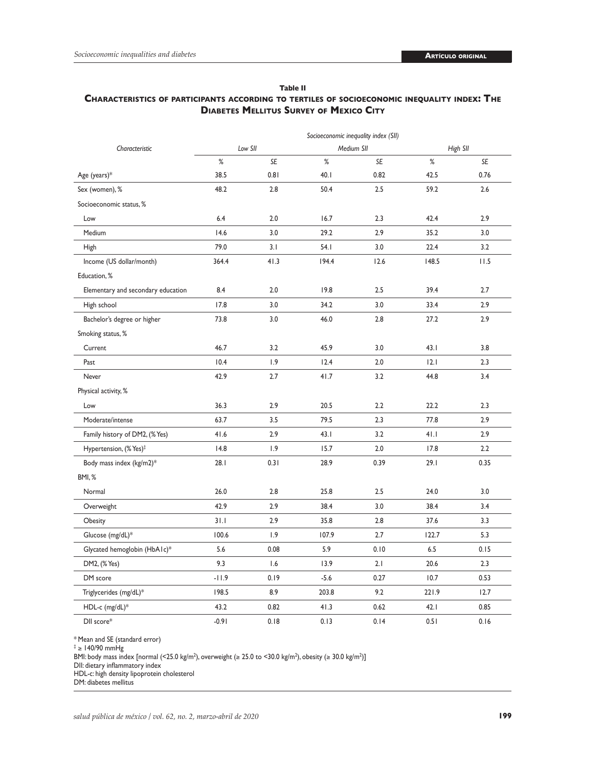#### **Table II**

## **Characteristics of participants according to tertiles of socioeconomic inequality index: The Diabetes Mellitus Survey of Mexico City**

|                                    | Socioeconomic inequality index (SII) |      |            |      |          |      |
|------------------------------------|--------------------------------------|------|------------|------|----------|------|
| Characteristic                     | Low SII                              |      | Medium SII |      | High SII |      |
|                                    | $\%$                                 | SE   | $\%$       | SE   | $\%$     | SE   |
| Age (years)*                       | 38.5                                 | 0.81 | 40.1       | 0.82 | 42.5     | 0.76 |
| Sex (women), %                     | 48.2                                 | 2.8  | 50.4       | 2.5  | 59.2     | 2.6  |
| Socioeconomic status, %            |                                      |      |            |      |          |      |
| Low                                | 6.4                                  | 2.0  | 16.7       | 2.3  | 42.4     | 2.9  |
| Medium                             | 14.6                                 | 3.0  | 29.2       | 2.9  | 35.2     | 3.0  |
| <b>High</b>                        | 79.0                                 | 3.1  | 54. I      | 3.0  | 22.4     | 3.2  |
| Income (US dollar/month)           | 364.4                                | 41.3 | 194.4      | 12.6 | 148.5    | 11.5 |
| Education, %                       |                                      |      |            |      |          |      |
| Elementary and secondary education | 8.4                                  | 2.0  | 19.8       | 2.5  | 39.4     | 2.7  |
| High school                        | 17.8                                 | 3.0  | 34.2       | 3.0  | 33.4     | 2.9  |
| Bachelor's degree or higher        | 73.8                                 | 3.0  | 46.0       | 2.8  | 27.2     | 2.9  |
| Smoking status, %                  |                                      |      |            |      |          |      |
| Current                            | 46.7                                 | 3.2  | 45.9       | 3.0  | 43.1     | 3.8  |
| Past                               | 10.4                                 | 1.9  | 12.4       | 2.0  | 2.1      | 2.3  |
| Never                              | 42.9                                 | 2.7  | 41.7       | 3.2  | 44.8     | 3.4  |
| Physical activity, %               |                                      |      |            |      |          |      |
| Low                                | 36.3                                 | 2.9  | 20.5       | 2.2  | 22.2     | 2.3  |
| Moderate/intense                   | 63.7                                 | 3.5  | 79.5       | 2.3  | 77.8     | 2.9  |
| Family history of DM2, (% Yes)     | 41.6                                 | 2.9  | 43.1       | 3.2  | 41.1     | 2.9  |
| Hypertension, (% Yes) <sup>‡</sup> | 14.8                                 | 1.9  | 15.7       | 2.0  | 17.8     | 2.2  |
| Body mass index (kg/m2)*           | 28.1                                 | 0.31 | 28.9       | 0.39 | 29.1     | 0.35 |
| BMI, %                             |                                      |      |            |      |          |      |
| Normal                             | 26.0                                 | 2.8  | 25.8       | 2.5  | 24.0     | 3.0  |
| Overweight                         | 42.9                                 | 2.9  | 38.4       | 3.0  | 38.4     | 3.4  |
| Obesity                            | 31.1                                 | 2.9  | 35.8       | 2.8  | 37.6     | 3.3  |
| Glucose (mg/dL)*                   | 100.6                                | 1.9  | 107.9      | 2.7  | 122.7    | 5.3  |
| Glycated hemoglobin (HbA1c)*       | 5.6                                  | 0.08 | 5.9        | 0.10 | 6.5      | 0.15 |
| DM2, (% Yes)                       | 9.3                                  | 1.6  | 13.9       | 2.1  | 20.6     | 2.3  |
| DM score                           | $-11.9$                              | 0.19 | $-5.6$     | 0.27 | 10.7     | 0.53 |
| Triglycerides (mg/dL)*             | 198.5                                | 8.9  | 203.8      | 9.2  | 221.9    | 12.7 |
| HDL-c (mg/dL)*                     | 43.2                                 | 0.82 | 41.3       | 0.62 | 42.1     | 0.85 |
| DII score*                         | $-0.91$                              | 0.18 | 0.13       | 0.14 | 0.51     | 0.16 |

\* Mean and SE (standard error)

‡ ≥ 140/90 mmHg

BMI: body mass index [normal (<25.0 kg/m²), overweight (≥ 25.0 to <30.0 kg/m²), obesity (≥ 30.0 kg/m²)]

DII: dietary inflammatory index

HDL-c: high density lipoprotein cholesterol

DM: diabetes mellitus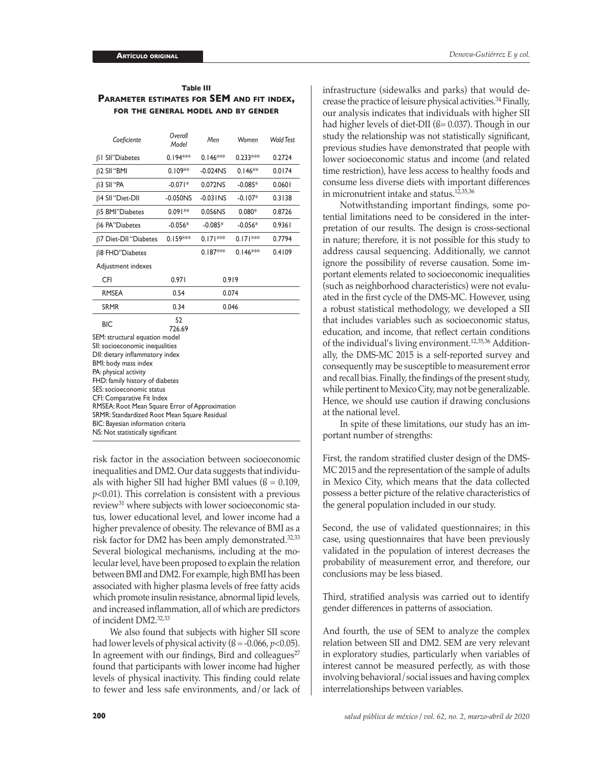| Table III                                         |  |  |  |  |
|---------------------------------------------------|--|--|--|--|
| <b>PARAMETER ESTIMATES FOR SEM AND FIT INDEX,</b> |  |  |  |  |
| FOR THE GENERAL MODEL AND BY GENDER               |  |  |  |  |

| Coeficiente                                                                                                                                                                                                                                                                                                                                                                                                                      | Overall<br>Model | Men                    | Women      | <b>Wald Test</b> |  |  |
|----------------------------------------------------------------------------------------------------------------------------------------------------------------------------------------------------------------------------------------------------------------------------------------------------------------------------------------------------------------------------------------------------------------------------------|------------------|------------------------|------------|------------------|--|--|
| $\beta$   SII"Diabetes                                                                                                                                                                                                                                                                                                                                                                                                           | $0.194***$       | $0.146***$             | $0.233***$ | 0.2724           |  |  |
| β2 SII "BMI                                                                                                                                                                                                                                                                                                                                                                                                                      | $0.109**$        | $-0.024$ <sub>NS</sub> | $0.146**$  | 0.0174           |  |  |
| $\beta$ 3 SII "PA                                                                                                                                                                                                                                                                                                                                                                                                                | $-0.071*$        | 0.072NS                | $-0.085*$  | 0.0601           |  |  |
| β4 SII "Diet-DII                                                                                                                                                                                                                                                                                                                                                                                                                 | $-0.050NS$       | $-0.03$ INS            | $-0.107*$  | 0.3138           |  |  |
| <b>B5 BMI</b> "Diabetes                                                                                                                                                                                                                                                                                                                                                                                                          | $0.091**$        | 0.056NS                | $0.080*$   | 0.8726           |  |  |
| β6 PA"Diabetes                                                                                                                                                                                                                                                                                                                                                                                                                   | $-0.056*$        | $-0.085*$              | $-0.056*$  | 0.9361           |  |  |
| β7 Diet-DII "Diabetes                                                                                                                                                                                                                                                                                                                                                                                                            | $0.159***$       | $0.171***$             | $0.171***$ | 0.7794           |  |  |
| β8 FHD"Diabetes                                                                                                                                                                                                                                                                                                                                                                                                                  |                  | $0.187***$             | $0.146***$ | 0.4109           |  |  |
| Adjustment indexes                                                                                                                                                                                                                                                                                                                                                                                                               |                  |                        |            |                  |  |  |
| CFI                                                                                                                                                                                                                                                                                                                                                                                                                              | 0.971            | 0.919                  |            |                  |  |  |
| <b>RMSEA</b>                                                                                                                                                                                                                                                                                                                                                                                                                     | 0.54             | 0.074                  |            |                  |  |  |
| <b>SRMR</b>                                                                                                                                                                                                                                                                                                                                                                                                                      | 0.34             | 0.046                  |            |                  |  |  |
| <b>BIC</b>                                                                                                                                                                                                                                                                                                                                                                                                                       | 52<br>726.69     |                        |            |                  |  |  |
| SEM: structural equation model<br>SII: socioeconomic inequalities<br>DII: dietary inflammatory index<br>BMI: body mass index<br>PA: physical activity<br>FHD: family history of diabetes<br>SES: socioeconomic status<br>CFI: Comparative Fit Index<br>RMSEA: Root Mean Square Error of Approximation<br>SRMR: Standardized Root Mean Square Residual<br>BIC: Bayesian information criteria<br>NS: Not statistically significant |                  |                        |            |                  |  |  |

risk factor in the association between socioeconomic inequalities and DM2. Our data suggests that individuals with higher SII had higher BMI values ( $\beta = 0.109$ , *p*<0.01). This correlation is consistent with a previous review31 where subjects with lower socioeconomic status, lower educational level, and lower income had a higher prevalence of obesity. The relevance of BMI as a risk factor for DM2 has been amply demonstrated.<sup>32,33</sup> Several biological mechanisms, including at the molecular level, have been proposed to explain the relation between BMI and DM2. For example, high BMI has been associated with higher plasma levels of free fatty acids which promote insulin resistance, abnormal lipid levels, and increased inflammation, all of which are predictors of incident DM2.32,33

We also found that subjects with higher SII score had lower levels of physical activity  $(6 = -0.066, p < 0.05)$ . In agreement with our findings, Bird and colleagues $27$ found that participants with lower income had higher levels of physical inactivity. This finding could relate to fewer and less safe environments, and/or lack of infrastructure (sidewalks and parks) that would decrease the practice of leisure physical activities.34 Finally, our analysis indicates that individuals with higher SII had higher levels of diet-DII ( $\beta$ = 0.037). Though in our study the relationship was not statistically significant, previous studies have demonstrated that people with lower socioeconomic status and income (and related time restriction), have less access to healthy foods and consume less diverse diets with important differences in micronutrient intake and status.<sup>12,35,36</sup>

Notwithstanding important findings, some potential limitations need to be considered in the interpretation of our results. The design is cross-sectional in nature; therefore, it is not possible for this study to address causal sequencing. Additionally, we cannot ignore the possibility of reverse causation. Some important elements related to socioeconomic inequalities (such as neighborhood characteristics) were not evaluated in the first cycle of the DMS-MC. However, using a robust statistical methodology, we developed a SII that includes variables such as socioeconomic status, education, and income, that reflect certain conditions of the individual's living environment.12,35,36 Additionally, the DMS-MC 2015 is a self-reported survey and consequently may be susceptible to measurement error and recall bias. Finally, the findings of the present study, while pertinent to Mexico City, may not be generalizable. Hence, we should use caution if drawing conclusions at the national level.

In spite of these limitations, our study has an important number of strengths:

First, the random stratified cluster design of the DMS-MC 2015 and the representation of the sample of adults in Mexico City, which means that the data collected possess a better picture of the relative characteristics of the general population included in our study.

Second, the use of validated questionnaires; in this case, using questionnaires that have been previously validated in the population of interest decreases the probability of measurement error, and therefore, our conclusions may be less biased.

Third, stratified analysis was carried out to identify gender differences in patterns of association.

And fourth, the use of SEM to analyze the complex relation between SII and DM2. SEM are very relevant in exploratory studies, particularly when variables of interest cannot be measured perfectly, as with those involving behavioral/social issues and having complex interrelationships between variables.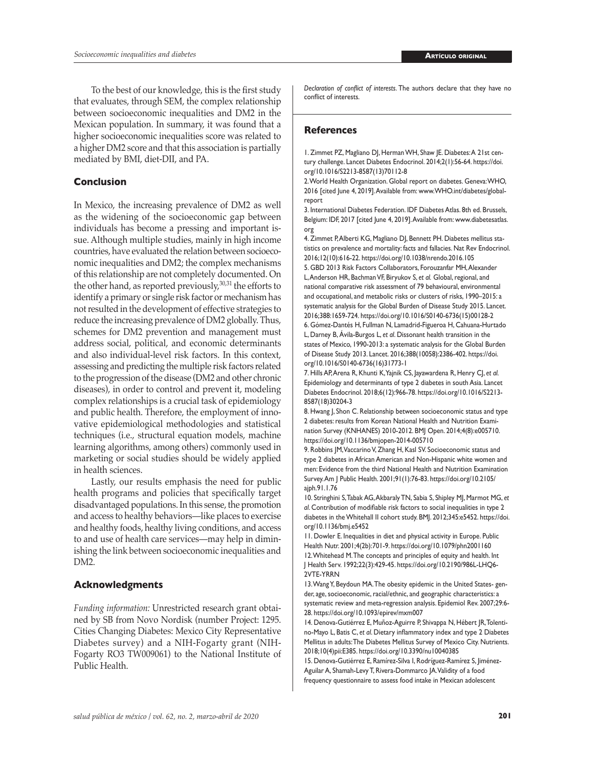To the best of our knowledge, this is the first study that evaluates, through SEM, the complex relationship between socioeconomic inequalities and DM2 in the Mexican population. In summary, it was found that a higher socioeconomic inequalities score was related to a higher DM2 score and that this association is partially mediated by BMI, diet-DII, and PA.

#### **Conclusion**

In Mexico, the increasing prevalence of DM2 as well as the widening of the socioeconomic gap between individuals has become a pressing and important issue. Although multiple studies, mainly in high income countries, have evaluated the relation between socioeconomic inequalities and DM2; the complex mechanisms of this relationship are not completely documented. On the other hand, as reported previously,<sup>30,31</sup> the efforts to identify a primary or single risk factor or mechanism has not resulted in the development of effective strategies to reduce the increasing prevalence of DM2 globally. Thus, schemes for DM2 prevention and management must address social, political, and economic determinants and also individual-level risk factors. In this context, assessing and predicting the multiple risk factors related to the progression of the disease (DM2 and other chronic diseases), in order to control and prevent it, modeling complex relationships is a crucial task of epidemiology and public health. Therefore, the employment of innovative epidemiological methodologies and statistical techniques (i.e., structural equation models, machine learning algorithms, among others) commonly used in marketing or social studies should be widely applied in health sciences.

Lastly, our results emphasis the need for public health programs and policies that specifically target disadvantaged populations. In this sense, the promotion and access to healthy behaviors—like places to exercise and healthy foods, healthy living conditions, and access to and use of health care services—may help in diminishing the link between socioeconomic inequalities and DM2.

#### **Acknowledgments**

*Funding information:* Unrestricted research grant obtained by SB from Novo Nordisk (number Project: 1295. Cities Changing Diabetes: Mexico City Representative Diabetes survey) and a NIH-Fogarty grant (NIH-Fogarty RO3 TW009061) to the National Institute of Public Health.

*Declaration of conflict of interests*. The authors declare that they have no conflict of interests.

#### **References**

1. Zimmet PZ, Magliano DJ, Herman WH, Shaw JE. Diabetes: A 21st century challenge. Lancet Diabetes Endocrinol. 2014;2(1):56-64. [https://doi.](https://doi.org/10.1016/S2213-8587(13)70112-8) [org/10.1016/S2213-8587\(13\)70112-8](https://doi.org/10.1016/S2213-8587(13)70112-8)

2. World Health Organization. Global report on diabetes. Geneva: WHO, 2016 [cited June 4, 2019]. Available from: [www.WHO.int/diabetes/global](www.WHO.int/diabetes/global-report)[report](www.WHO.int/diabetes/global-report)

3. International Diabetes Federation. IDF Diabetes Atlas. 8th ed. Brussels, Belgium: IDF, 2017 [cited June 4, 2019]. Available from: [www.diabetesatlas.](www.diabetesatlas.org) [org](www.diabetesatlas.org)

4. Zimmet P, Alberti KG, Magliano DJ, Bennett PH. Diabetes mellitus statistics on prevalence and mortality: facts and fallacies. Nat Rev Endocrinol. 2016;12(10):616-22. <https://doi.org/10.1038/nrendo.2016.105> 5. GBD 2013 Risk Factors Collaborators, Forouzanfar MH, Alexander L, Anderson HR, Bachman VF, Biryukov S, *et al.* Global, regional, and national comparative risk assessment of 79 behavioural, environmental and occupational, and metabolic risks or clusters of risks, 1990–2015: a systematic analysis for the Global Burden of Disease Study 2015. Lancet. 2016;388:1659-724. [https://doi.org/10.1016/S0140-6736\(15\)00128-2](https://doi.org/10.1016/S0140-6736(15)00128-2) 6. Gómez-Dantés H, Fullman N, Lamadrid-Figueroa H, Cahuana-Hurtado

L, Darney B, Ávila-Burgos L, *et al*. Dissonant health transition in the states of Mexico, 1990-2013: a systematic analysis for the Global Burden of Disease Study 2013. Lancet. 2016;388(10058):2386-402. [https://doi.](https://doi.org/10.1016/S0140-6736(16)31773-1) [org/10.1016/S0140-6736\(16\)31773-1](https://doi.org/10.1016/S0140-6736(16)31773-1)

7. Hills AP, Arena R, Khunti K, Yajnik CS, Jayawardena R, Henry CJ, *et al.* Epidemiology and determinants of type 2 diabetes in south Asia. Lancet Diabetes Endocrinol. 2018;6(12):966-78. [https://doi.org/10.1016/S2213-](https://doi.org/10.1016/S2213-8587(18)30204-3) [8587\(18\)30204-3](https://doi.org/10.1016/S2213-8587(18)30204-3)

8. Hwang J, Shon C. Relationship between socioeconomic status and type 2 diabetes: results from Korean National Health and Nutrition Examination Survey (KNHANES) 2010-2012. BMJ Open. 2014;4(8):e005710. <https://doi.org/10.1136/bmjopen-2014-005710>

9. Robbins JM, Vaccarino V, Zhang H, Kasl SV. Socioeconomic status and type 2 diabetes in African American and Non-Hispanic white women and men: Evidence from the third National Health and Nutrition Examination Survey. Am J Public Health. 2001;91(1):76-83. [https://doi.org/10.2105/](https://doi.org/10.2105/ajph.91.1.76) [ajph.91.1.76](https://doi.org/10.2105/ajph.91.1.76)

10. Stringhini S, Tabak AG, Akbaraly TN, Sabia S, Shipley MJ, Marmot MG, *et al*. Contribution of modifiable risk factors to social inequalities in type 2 diabetes in the Whitehall II cohort study. BMJ. 2012;345:e5452. [https://doi.](https://doi.org/10.1136/bmj.e5452) [org/10.1136/bmj.e5452](https://doi.org/10.1136/bmj.e5452)

11. Dowler E. Inequalities in diet and physical activity in Europe. Public Health Nutr. 2001;4(2b):701-9. https://doi.org/10.1079/phn2001160 12. Whitehead M. The concepts and principles of equity and health. Int J Health Serv. 1992;22(3):429-45. [https://doi.org/10.2190/986L-LHQ6-](https://doi.org/10.2190/986L-LHQ6-2VTE-YRRN) [2VTE-YRRN](https://doi.org/10.2190/986L-LHQ6-2VTE-YRRN)

13. Wang Y, Beydoun MA. The obesity epidemic in the United States- gender, age, socioeconomic, racial/ethnic, and geographic characteristics: a systematic review and meta-regression analysis. Epidemiol Rev. 2007;29:6- 28. <https://doi.org/10.1093/epirev/mxm007>

14. Denova-Gutiérrez E, Muñoz-Aguirre P, Shivappa N, Hébert JR, Tolentino-Mayo L, Batis C, *et al*. Dietary inflammatory index and type 2 Diabetes Mellitus in adults: The Diabetes Mellitus Survey of Mexico City. Nutrients. 2018;10(4)pii:E385.<https://doi.org/10.3390/nu10040385>

15. Denova-Gutiérrez E, Ramírez-Silva I, Rodríguez-Ramírez S, Jiménez-Aguilar A, Shamah-Levy T, Rivera-Dommarco JA. Validity of a food frequency questionnaire to assess food intake in Mexican adolescent